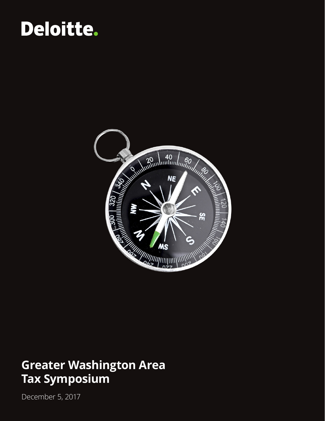# Deloitte.



#### **Greater Washington Area Tax Symposium**

December 5, 2017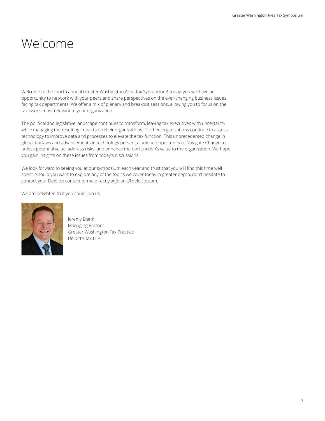# Welcome

Welcome to the fourth annual Greater Washington Area Tax Symposium! Today, you will have an opportunity to network with your peers and share perspectives on the ever-changing business issues facing tax departments. We offer a mix of plenary and breakout sessions, allowing you to focus on the tax issues most relevant to your organization.

The political and legislative landscape continues to transform, leaving tax executives with uncertainty while managing the resulting impacts on their organizations. Further, organizations continue to assess technology to improve data and processes to elevate the tax function. This unprecedented change in global tax laws and advancements in technology present a unique opportunity to Navigate Change to unlock potential value, address risks, and enhance the tax function's value to the organization. We hope you gain insights on these issues from today's discussions.

We look forward to seeing you at our symposium each year and trust that you will find this time well spent. Should you want to explore any of the topics we cover today in greater depth, don't hesitate to contact your Deloitte contact or me directly at jblank@deloitte.com.

We are delighted that you could join us.



Jeremy Blank Managing Partner Greater Washington Tax Practice Deloitte Tax LLP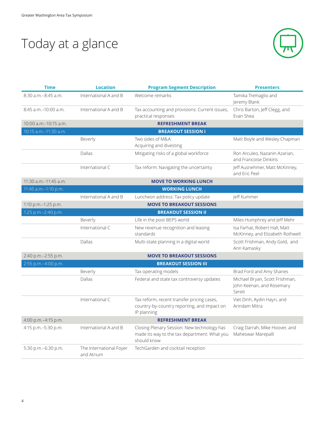# Today at a glance



| <b>Time</b>             | <b>Location</b>                       | <b>Program Segment Description</b>                                                                         | <b>Presenters</b>                                                     |
|-------------------------|---------------------------------------|------------------------------------------------------------------------------------------------------------|-----------------------------------------------------------------------|
| 8:30 a.m.-8:45 a.m.     | International A and B                 | Welcome remarks                                                                                            | Tamika Tremaglio and<br>Jeremy Blank                                  |
| 8:45 a.m.-10:00 a.m.    | International A and B                 | Tax accounting and provisions: Current issues,<br>practical responses                                      | Chris Barton, Jeff Clegg, and<br>Evan Shea                            |
| 10:00 a.m. - 10:15 a.m. |                                       | <b>REFRESHMENT BREAK</b>                                                                                   |                                                                       |
| 10:15 a.m.-11:30 a.m.   |                                       | <b>BREAKOUT SESSION I</b>                                                                                  |                                                                       |
|                         | Beverly                               | Two sides of M&A:<br>Acquiring and divesting                                                               | Matt Boyle and Wesley Chapman                                         |
|                         | Dallas                                | Mitigating risks of a global workforce                                                                     | Ron Arculeo, Nazanin Azarian,<br>and Francoise Dinkins                |
|                         | International C                       | Tax reform: Navigating the uncertainty                                                                     | Jeff Ausnehmer, Matt McKinney,<br>and Eric Peel                       |
| 11:30 a.m.-11:45 a.m.   |                                       | <b>MOVE TO WORKING LUNCH</b>                                                                               |                                                                       |
| 11:45 a.m.-1:10 p.m.    |                                       | <b>WORKING LUNCH</b>                                                                                       |                                                                       |
|                         | International A and B                 | Luncheon address: Tax policy update                                                                        | Jeff Kummer                                                           |
| 1:10 p.m.-1:25 p.m.     |                                       | <b>MOVE TO BREAKOUT SESSIONS</b>                                                                           |                                                                       |
| 1:25 p.m.-2:40 p.m.     |                                       | <b>BREAKOUT SESSION II</b>                                                                                 |                                                                       |
|                         | Beverly                               | Life in the post-BEPS world                                                                                | Miles Humphrey and Jeff Mehr                                          |
|                         | International C                       | New revenue recognition and leasing<br>standards                                                           | Isa Farhat, Robert Hall, Matt<br>McKinney, and Elizabeth Rothwell     |
|                         | Dallas                                | Multi-state planning in a digital world                                                                    | Scott Frishman, Andy Gold, and<br>Ann Kamasky                         |
| 2:40 p.m.-2:55 p.m.     |                                       | <b>MOVE TO BREAKOUT SESSIONS</b>                                                                           |                                                                       |
| 2:55 p.m.-4:00 p.m.     |                                       | <b>BREAKOUT SESSION III</b>                                                                                |                                                                       |
|                         | Beverly                               | Tax operating models                                                                                       | Brad Ford and Amy Shanes                                              |
|                         | Dallas                                | Federal and state tax controversy updates                                                                  | Michael Bryan, Scott Frishman,<br>John Keenan, and Rosemary<br>Sereti |
|                         | International C                       | Tax reform, recent transfer pricing cases,<br>country-by-country reporting, and impact on<br>IP planning   | Viet Dinh, Aydin Hayri, and<br>Arindam Mitra                          |
| 4:00 p.m.-4:15 p.m.     |                                       | <b>REFRESHMENT BREAK</b>                                                                                   |                                                                       |
| 4:15 p.m.-5:30 p.m.     | International A and B                 | Closing Plenary Session: New technology has<br>made its way to the tax department: What you<br>should know | Craig Darrah, Mike Hoover, and<br>Maheswar Marepalli                  |
| 5:30 p.m.-6:30 p.m.     | The International Foyer<br>and Atrium | TechGarden and cocktail reception                                                                          |                                                                       |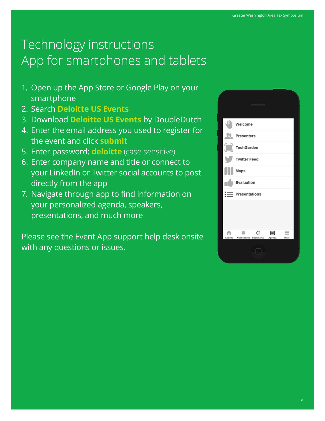# Technology instructions App for smartphones and tablets

- 1. Open up the App Store or Google Play on your smartphone
- 2. Search **Deloitte US Events**
- 3. Download **Deloitte US Events** by DoubleDutch
- 4. Enter the email address you used to register for the event and click **submit**
- 5. Enter password: **deloitte** (case sensitive)
- 6. Enter company name and title or connect to your LinkedIn or Twitter social accounts to post directly from the app
- 7. Navigate through app to find information on your personalized agenda, speakers, presentations, and much more

Please see the Event App support help desk onsite with any questions or issues.

| Welcome                                              |
|------------------------------------------------------|
| <b>Presenters</b>                                    |
| TechGarden                                           |
| <b>Twitter Feed</b>                                  |
| Maps                                                 |
| Evaluation                                           |
| $\mathrel{\mathop:}=$ Presentations                  |
|                                                      |
| 圇<br>Activity Notifications Bookmarks Agenda<br>More |
|                                                      |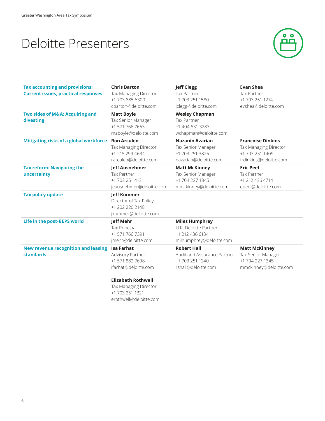### Deloitte Presenters



| <b>Tax accounting and provisions:</b><br><b>Current issues, practical responses</b> | <b>Chris Barton</b><br>Tax Managing Director<br>+1 703 885 6300<br>cbarton@deloitte.com                                                                                             | <b>Jeff Clegg</b><br>Tax Partner<br>+1 703 251 1580<br>jclegg@deloitte.com                    | <b>Evan Shea</b><br>Tax Partner<br>+1 703 251 1274<br>evshea@deloitte.com                      |
|-------------------------------------------------------------------------------------|-------------------------------------------------------------------------------------------------------------------------------------------------------------------------------------|-----------------------------------------------------------------------------------------------|------------------------------------------------------------------------------------------------|
| Two sides of M&A: Acquiring and<br>divesting                                        | <b>Matt Boyle</b><br>Tax Senior Manager<br>+1 571 766 7663<br>maboyle@deloitte.com                                                                                                  | <b>Wesley Chapman</b><br><b>Tax Partner</b><br>+1 404 631 3283<br>wchapman@deloitte.com       |                                                                                                |
| Mitigating risks of a global workforce                                              | <b>Ron Arculeo</b><br>Tax Managing Director<br>+1 215 299 4634<br>rarculeo@deloitte.com                                                                                             | <b>Nazanin Azarian</b><br>Tax Senior Manager<br>+1 703 251 3826<br>nazarian@deloitte.com      | <b>Francoise Dinkins</b><br>Tax Managing Director<br>+1 703 251 1409<br>frdinkins@deloitte.com |
| <b>Tax reform: Navigating the</b><br>uncertainty                                    | <b>Jeff Ausnehmer</b><br><b>Tax Partner</b><br>+1 703 251 4131<br>jeausnehmer@deloitte.com                                                                                          | <b>Matt McKinney</b><br>Tax Senior Manager<br>+1 704 227 1345<br>mmckinney@deloitte.com       | <b>Eric Peel</b><br>Tax Partner<br>+1 212 436 4714<br>epeel@deloitte.com                       |
| <b>Tax policy update</b>                                                            | <b>Jeff Kummer</b><br>Director of Tax Policy<br>+1 202 220 2148<br>jkummer@deloitte.com                                                                                             |                                                                                               |                                                                                                |
| Life in the post-BEPS world                                                         | <b>Jeff Mehr</b><br>Tax Principal<br>+1 571 766 7391<br>jmehr@deloitte.com                                                                                                          | <b>Miles Humphrey</b><br>U.K. Deloitte Partner<br>+1 212 436 6184<br>milhumphrey@deloitte.com |                                                                                                |
| <b>New revenue recognition and leasing</b><br><b>standards</b>                      | <b>Isa Farhat</b><br>Advisory Partner<br>+1 571 882 7698<br>ifarhat@deloitte.com<br><b>Elizabeth Rothwell</b><br>Tax Managing Director<br>+1 703 251 1321<br>erothwell@deloitte.com | <b>Robert Hall</b><br>Audit and Assurance Partner<br>+1 703 251 1240<br>rshall@deloitte.com   | <b>Matt McKinney</b><br>Tax Senior Manager<br>+1 704 227 1345<br>mmckinney@deloitte.com        |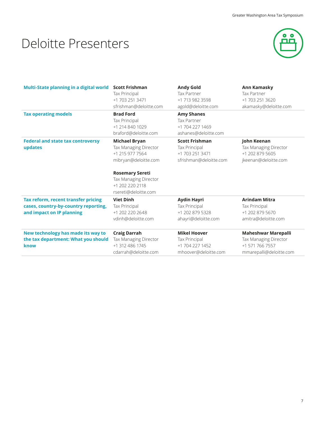# Deloitte Presenters



| Multi-State planning in a digital world                                                                  | <b>Scott Frishman</b><br>Tax Principal<br>+1 703 251 3471<br>sfrishman@deloitte.com                                                                                                           | <b>Andy Gold</b><br><b>Tax Partner</b><br>+1 713 982 3598<br>agold@deloitte.com     | <b>Ann Kamasky</b><br>Tax Partner<br>+1 703 251 3620<br>akamasky@deloitte.com                     |
|----------------------------------------------------------------------------------------------------------|-----------------------------------------------------------------------------------------------------------------------------------------------------------------------------------------------|-------------------------------------------------------------------------------------|---------------------------------------------------------------------------------------------------|
| <b>Tax operating models</b>                                                                              | <b>Brad Ford</b><br>Tax Principal<br>+1 214 840 1029<br>braford@deloitte.com                                                                                                                  | <b>Amy Shanes</b><br><b>Tax Partner</b><br>+1 704 227 1469<br>ashanes@deloitte.com  |                                                                                                   |
| <b>Federal and state tax controversy</b><br>updates                                                      | <b>Michael Bryan</b><br><b>Tax Managing Director</b><br>+1 215 977 7564<br>mibryan@deloitte.com<br><b>Rosemary Sereti</b><br>Tax Managing Director<br>+1 202 220 2118<br>rsereti@deloitte.com | <b>Scott Frishman</b><br>Tax Principal<br>+1 703 251 3471<br>sfrishman@deloitte.com | John Keenan<br>Tax Managing Director<br>+1 202 879 5605<br>jkeenan@deloitte.com                   |
| Tax reform, recent transfer pricing<br>cases, country-by-country reporting,<br>and impact on IP planning | <b>Viet Dinh</b><br>Tax Principal<br>+1 202 220 2648<br>vdinh@deloitte.com                                                                                                                    | <b>Aydin Hayri</b><br>Tax Principal<br>+1 202 879 5328<br>ahayri@deloitte.com       | <b>Arindam Mitra</b><br>Tax Principal<br>+1 202 879 5670<br>amitra@deloitte.com                   |
| New technology has made its way to<br>the tax department: What you should<br>know                        | <b>Craig Darrah</b><br>Tax Managing Director<br>+1 312 486 1745<br>cdarrah@deloitte.com                                                                                                       | <b>Mikel Hoover</b><br>Tax Principal<br>+1 704 227 1452<br>mhoover@deloitte.com     | <b>Maheshwar Marepalli</b><br>Tax Managing Director<br>+1 571 766 7557<br>mmarepalli@deloitte.com |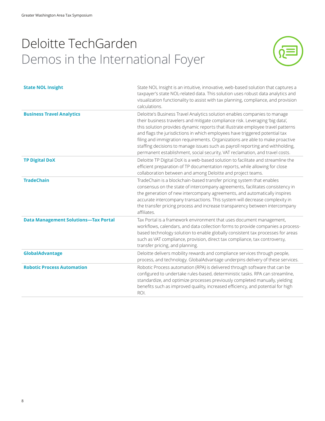# Deloitte TechGarden Demos in the International Foyer



| <b>State NOL Insight</b>                    | State NOL Insight is an intuitive, innovative, web-based solution that captures a<br>taxpayer's state NOL-related data. This solution uses robust data analytics and<br>visualization functionality to assist with tax planning, compliance, and provision<br>calculations.                                                                                                                                                                                                                                                                                                     |
|---------------------------------------------|---------------------------------------------------------------------------------------------------------------------------------------------------------------------------------------------------------------------------------------------------------------------------------------------------------------------------------------------------------------------------------------------------------------------------------------------------------------------------------------------------------------------------------------------------------------------------------|
| <b>Business Travel Analytics</b>            | Deloitte's Business Travel Analytics solution enables companies to manage<br>their business travelers and mitigate compliance risk. Leveraging 'big data',<br>this solution provides dynamic reports that illustrate employee travel patterns<br>and flags the jurisdictions in which employees have triggered potential tax<br>filing and immigration requirements. Organizations are able to make proactive<br>staffing decisions to manage issues such as payroll reporting and withholding,<br>permanent establishment, social security, VAT reclamation, and travel costs. |
| <b>TP Digital DoX</b>                       | Deloitte TP Digital DoX is a web-based solution to facilitate and streamline the<br>efficient preparation of TP documentation reports, while allowing for close<br>collaboration between and among Deloitte and project teams.                                                                                                                                                                                                                                                                                                                                                  |
| <b>TradeChain</b>                           | TradeChain is a blockchain-based transfer pricing system that enables<br>consensus on the state of intercompany agreements, facilitates consistency in<br>the generation of new intercompany agreements, and automatically inspires<br>accurate intercompany transactions. This system will decrease complexity in<br>the transfer pricing process and increase transparency between intercompany<br>affiliates.                                                                                                                                                                |
| <b>Data Management Solutions-Tax Portal</b> | Tax Portal is a framework environment that uses document management,<br>workflows, calendars, and data collection forms to provide companies a process-<br>based technology solution to enable globally consistent tax processes for areas<br>such as VAT compliance, provision, direct tax compliance, tax controversy,<br>transfer pricing, and planning.                                                                                                                                                                                                                     |
| GlobalAdvantage                             | Deloitte delivers mobility rewards and compliance services through people,<br>process, and technology. GlobalAdvantage underpins delivery of these services.                                                                                                                                                                                                                                                                                                                                                                                                                    |
| <b>Robotic Process Automation</b>           | Robotic Process automation (RPA) is delivered through software that can be<br>configured to undertake rules-based, deterministic tasks. RPA can streamline,<br>standardize, and optimize processes previously completed manually, yielding<br>benefits such as improved quality, increased efficiency, and potential for high<br>ROI.                                                                                                                                                                                                                                           |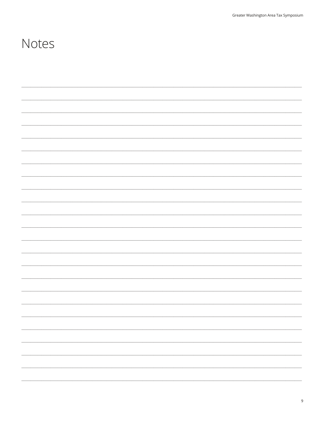#### Notes

|  |  | $\overline{\phantom{0}}$ |
|--|--|--------------------------|
|  |  | $\overline{\phantom{0}}$ |
|  |  |                          |
|  |  |                          |
|  |  | $\overline{\phantom{0}}$ |
|  |  |                          |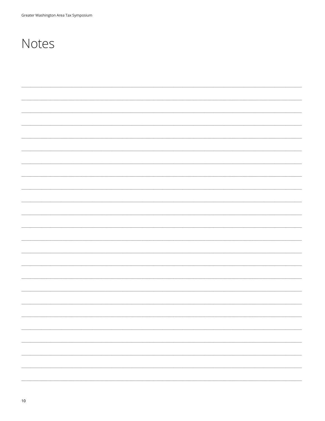### Notes

| $\overline{\phantom{a}}$ |  |
|--------------------------|--|
|                          |  |
|                          |  |
| $\overline{\phantom{a}}$ |  |
|                          |  |
|                          |  |
| $\overline{\phantom{a}}$ |  |
|                          |  |
|                          |  |
| $\overline{\phantom{a}}$ |  |
|                          |  |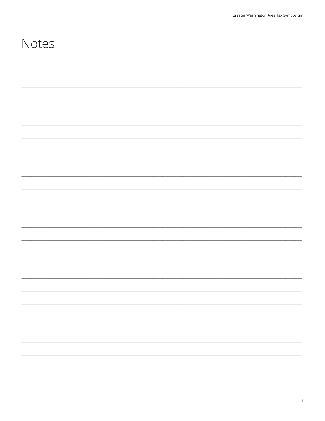#### Notes

| — |
|---|
| — |
| — |
|   |
|   |